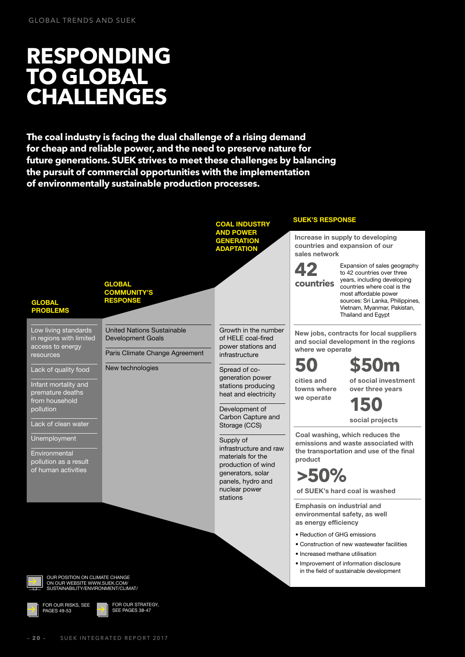# **RESPONDING TO GLOBAL CHALLENGES**

**The coal industry is facing the dual challenge of a rising demand for cheap and reliable power, and the need to preserve nature for future generations. SUEK strives to meet these challenges by balancing the pursuit of commercial opportunities with the implementation of environmentally sustainable production processes.**

|                                                                                                                        |                                                                                                 | <b>COAL INDUSTRY</b>                                                                                                                                  | <b>SUEK'S RESPONSE</b><br>Increase in supply to developing<br>countries and expansion of our<br>sales network                                                                                                                                  |                                                                                                                                                                                                                                            |
|------------------------------------------------------------------------------------------------------------------------|-------------------------------------------------------------------------------------------------|-------------------------------------------------------------------------------------------------------------------------------------------------------|------------------------------------------------------------------------------------------------------------------------------------------------------------------------------------------------------------------------------------------------|--------------------------------------------------------------------------------------------------------------------------------------------------------------------------------------------------------------------------------------------|
|                                                                                                                        |                                                                                                 | <b>AND POWER</b><br><b>GENERATION</b><br><b>ADAPTATION</b>                                                                                            |                                                                                                                                                                                                                                                |                                                                                                                                                                                                                                            |
| <b>GLOBAL</b><br><b>PROBLEMS</b>                                                                                       | <b>GLOBAL</b><br><b>COMMUNITY'S</b><br><b>RESPONSE</b>                                          |                                                                                                                                                       | countries                                                                                                                                                                                                                                      | Expansion of sales geography<br>to 42 countries over three<br>years, including developing<br>countries where coal is the<br>most affordable power<br>sources: Sri Lanka, Philippines,<br>Vietnam, Myanmar, Pakistan,<br>Thailand and Egypt |
| Low living standards<br>in regions with limited<br>access to energy<br>resources                                       | <b>United Nations Sustainable</b><br><b>Development Goals</b><br>Paris Climate Change Agreement | Growth in the number<br>of HELE coal-fired<br>power stations and<br>infrastructure                                                                    | New jobs, contracts for local suppliers<br>and social development in the regions<br>where we operate                                                                                                                                           |                                                                                                                                                                                                                                            |
| Lack of quality food<br>Infant mortality and<br>premature deaths<br>from household<br>pollution<br>Lack of clean water | New technologies                                                                                | Spread of co-<br>generation power<br>stations producing<br>heat and electricity<br>Development of<br>Carbon Capture and<br>Storage (CCS)              | cities and<br>towns where<br>we operate                                                                                                                                                                                                        | <b>\$50m</b><br>of social investment<br>over three years<br>social projects                                                                                                                                                                |
| Unemployment<br>Environmental<br>pollution as a result<br>of human activities                                          |                                                                                                 | Supply of<br>infrastructure and raw<br>materials for the<br>production of wind<br>generators, solar<br>panels, hydro and<br>nuclear power<br>stations | Coal washing, which reduces the<br>emissions and waste associated with<br>the transportation and use of the final<br>product<br>$>50\%$<br>of SUEK's hard coal is washed<br><b>Emphasis on industrial and</b><br>environmental safety, as well |                                                                                                                                                                                                                                            |
| OUR POSITION ON CLIMATE CHANGE<br>ON OUR WEBSITE WWW.SUEK.COM/<br>SUSTAINABILITY/ENVIRONMENT/CLIMAT/<br>Ē              |                                                                                                 |                                                                                                                                                       | as energy efficiency<br>• Reduction of GHG emissions<br>· Increased methane utilisation                                                                                                                                                        | • Construction of new wastewater facilities<br>• Improvement of information disclosure<br>in the field of sustainable development                                                                                                          |
| FOR OUR RISKS, SEE<br><b>PAGES 49-53</b>                                                                               | FOR OUR STRATEGY,<br>SEE PAGES 38-47                                                            |                                                                                                                                                       |                                                                                                                                                                                                                                                |                                                                                                                                                                                                                                            |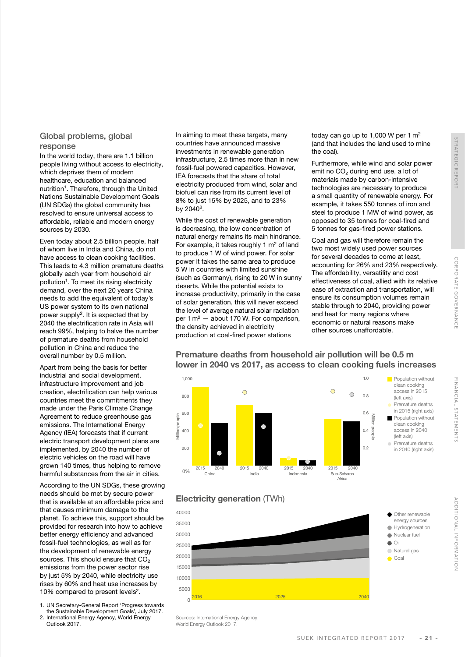#### Global problems, global response

In the world today, there are 1.1 billion people living without access to electricity, which deprives them of modern healthcare, education and balanced nutrition<sup>1</sup>. Therefore, through the United Nations Sustainable Development Goals (UN SDGs) the global community has resolved to ensure universal access to affordable, reliable and modern energy sources by 2030.

Even today about 2.5 billion people, half of whom live in India and China, do not have access to clean cooking facilities. This leads to 4.3 million premature deaths globally each year from household air pollution<sup>1</sup>. To meet its rising electricity demand, over the next 20 years China needs to add the equivalent of today's US power system to its own national power supply<sup>2</sup>. It is expected that by 2040 the electrification rate in Asia will reach 99%, helping to halve the number of premature deaths from household pollution in China and reduce the overall number by 0.5 million.

Apart from being the basis for better industrial and social development, infrastructure improvement and job creation, electrification can help various countries meet the commitments they made under the Paris Climate Change Agreement to reduce greenhouse gas emissions. The International Energy Agency (IEA) forecasts that if current electric transport development plans are implemented, by 2040 the number of electric vehicles on the road will have grown 140 times, thus helping to remove harmful substances from the air in cities.

According to the UN SDGs, these growing needs should be met by secure power that is available at an affordable price and that causes minimum damage to the planet. To achieve this, support should be provided for research into how to achieve better energy efficiency and advanced fossil-fuel technologies, as well as for the development of renewable energy sources. This should ensure that CO<sub>2</sub> emissions from the power sector rise by just 5% by 2040, while electricity use rises by 60% and heat use increases by 10% compared to present levels<sup>2</sup>.

- 1. UN Secretary-General Report 'Progress towards
- the Sustainable Development Goals', July 2017. 2. International Energy Agency, World Energy
- Outlook 2017.

In aiming to meet these targets, many countries have announced massive investments in renewable generation infrastructure, 2.5 times more than in new fossil-fuel powered capacities. However, IEA forecasts that the share of total electricity produced from wind, solar and biofuel can rise from its current level of 8% to just 15% by 2025, and to 23% by 20402.

While the cost of renewable generation is decreasing, the low concentration of natural energy remains its main hindrance. For example, it takes roughly 1 m2 of land to produce 1 W of wind power. For solar power it takes the same area to produce 5 W in countries with limited sunshine (such as Germany), rising to 20 W in sunny deserts. While the potential exists to increase productivity, primarily in the case of solar generation, this will never exceed the level of average natural solar radiation per 1 m2 — about 170 W. For comparison, the density achieved in electricity production at coal-fired power stations

today can go up to 1,000 W per 1 $m<sup>2</sup>$ (and that includes the land used to mine the coal).

Furthermore, while wind and solar power emit no CO₂ during end use, a lot of materials made by carbon-intensive technologies are necessary to produce a small quantity of renewable energy. For example, it takes 550 tonnes of iron and steel to produce 1 MW of wind power, as opposed to 35 tonnes for coal-fired and 5 tonnes for gas-fired power stations.

Coal and gas will therefore remain the two most widely used power sources for several decades to come at least, accounting for 26% and 23% respectively. The affordability, versatility and cost effectiveness of coal, allied with its relative ease of extraction and transportation, will ensure its consumption volumes remain stable through to 2040, providing power and heat for many regions where economic or natural reasons make other sources unaffordable.

#### Premature deaths from household air pollution will be 0.5 m lower in 2040 vs 2017, as access to clean cooking fuels increases



## Electricity generation (TWh)



Sources: International Energy Agency, World Energy Outlook 2017.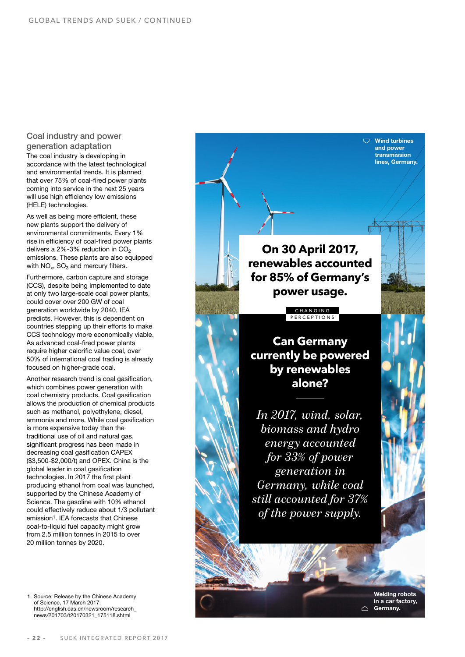#### Coal industry and power generation adaptation

The coal industry is developing in accordance with the latest technological and environmental trends. It is planned that over 75% of coal-fired power plants coming into service in the next 25 years will use high efficiency low emissions (HELE) technologies.

As well as being more efficient, these new plants support the delivery of environmental commitments. Every 1% rise in efficiency of coal-fired power plants delivers a  $2\%$ -3% reduction in CO<sub>2</sub> emissions. These plants are also equipped with  $NO<sub>x</sub>$ ,  $SO<sub>3</sub>$  and mercury filters.

Furthermore, carbon capture and storage (CCS), despite being implemented to date at only two large-scale coal power plants, could cover over 200 GW of coal generation worldwide by 2040, IEA predicts. However, this is dependent on countries stepping up their efforts to make CCS technology more economically viable. As advanced coal-fired power plants require higher calorific value coal, over 50% of international coal trading is already focused on higher-grade coal.

Another research trend is coal gasification, which combines power generation with coal chemistry products. Coal gasification allows the production of chemical products such as methanol, polyethylene, diesel, ammonia and more. While coal gasification is more expensive today than the traditional use of oil and natural gas, significant progress has been made in decreasing coal gasification CAPEX (\$3,500-\$2,000/t) and OPEX. China is the global leader in coal gasification technologies. In 2017 the first plant producing ethanol from coal was launched, supported by the Chinese Academy of Science. The gasoline with 10% ethanol could effectively reduce about 1/3 pollutant emission<sup>1</sup>. IEA forecasts that Chinese coal-to-liquid fuel capacity might grow from 2.5 million tonnes in 2015 to over 20 million tonnes by 2020.

1. [Source: Release by the Chinese Academy](http://english.cas.cn/newsroom/research_news/201703/t20170321_175118.shtml)  of Science, 17 March 2017. http://english.cas.cn/newsroom/research\_ news/201703/t20170321\_175118.shtml

**On 30 April 2017, renewables accounted for 85% of Germany's power usage.**

> CHANGING PERCEPTIONS

**Can Germany currently be powered by renewables alone?**

*In 2017, wind, solar, biomass and hydro energy accounted for 33% of power generation in Germany, while coal still accounted for 37% of the power supply.*

> Welding robots in a car factory,  $\triangle$  Germany.

 $\nabla$  Wind turbines and power transmission lines, Germany.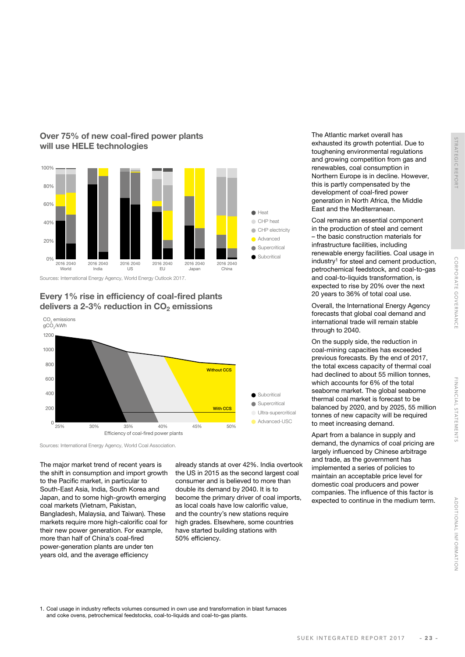

## Over 75% of new coal-fired power plants will use HELE technologies

Sources: International Energy Agency, World Energy Outlook 2017.

Every 1% rise in efficiency of coal-fired plants delivers a 2-3% reduction in  $CO<sub>2</sub>$  emissions



Sources: International Energy Agency, World Coal Association.

The major market trend of recent years is the shift in consumption and import growth to the Pacific market, in particular to South-East Asia, India, South Korea and Japan, and to some high-growth emerging coal markets (Vietnam, Pakistan, Bangladesh, Malaysia, and Taiwan). These markets require more high-calorific coal for their new power generation. For example, more than half of China's coal-fired power-generation plants are under ten years old, and the average efficiency

already stands at over 42%. India overtook the US in 2015 as the second largest coal consumer and is believed to more than double its demand by 2040. It is to become the primary driver of coal imports, as local coals have low calorific value, and the country's new stations require high grades. Elsewhere, some countries have started building stations with 50% efficiency.

The Atlantic market overall has exhausted its growth potential. Due to toughening environmental regulations and growing competition from gas and renewables, coal consumption in Northern Europe is in decline. However, this is partly compensated by the development of coal-fired power generation in North Africa, the Middle East and the Mediterranean.

Coal remains an essential component in the production of steel and cement – the basic construction materials for infrastructure facilities, including renewable energy facilities. Coal usage in industry1 for steel and cement production, petrochemical feedstock, and coal-to-gas and coal-to-liquids transformation, is expected to rise by 20% over the next 20 years to 36% of total coal use.

Overall, the International Energy Agency forecasts that global coal demand and international trade will remain stable through to 2040.

On the supply side, the reduction in coal-mining capacities has exceeded previous forecasts. By the end of 2017, the total excess capacity of thermal coal had declined to about 55 million tonnes, which accounts for 6% of the total seaborne market. The global seaborne thermal coal market is forecast to be balanced by 2020, and by 2025, 55 million tonnes of new capacity will be required to meet increasing demand.

Apart from a balance in supply and demand, the dynamics of coal pricing are largely influenced by Chinese arbitrage and trade, as the government has implemented a series of policies to maintain an acceptable price level for domestic coal producers and power companies. The influence of this factor is expected to continue in the medium term.

1. Coal usage in industry reflects volumes consumed in own use and transformation in blast furnaces and coke ovens, petrochemical feedstocks, coal-to-liquids and coal-to-gas plants.